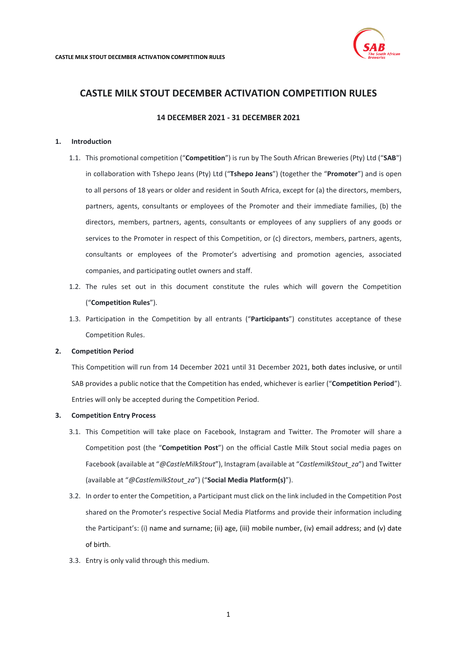

# **14 DECEMBER 2021 - 31 DECEMBER 2021**

### <span id="page-0-1"></span>**1. Introduction**

- 1.1. This promotional competition ("**Competition**") is run by The South African Breweries (Pty) Ltd ("**SAB**") in collaboration with Tshepo Jeans (Pty) Ltd ("**Tshepo Jeans**") (together the "**Promoter**") and is open to all persons of 18 years or older and resident in South Africa, except for (a) the directors, members, partners, agents, consultants or employees of the Promoter and their immediate families, (b) the directors, members, partners, agents, consultants or employees of any suppliers of any goods or services to the Promoter in respect of this Competition, or (c) directors, members, partners, agents, consultants or employees of the Promoter's advertising and promotion agencies, associated companies, and participating outlet owners and staff.
- 1.2. The rules set out in this document constitute the rules which will govern the Competition ("**Competition Rules**").
- 1.3. Participation in the Competition by all entrants ("**Participants**") constitutes acceptance of these Competition Rules.

# **2. Competition Period**

This Competition will run from 14 December 2021 until 31 December 2021, both dates inclusive, or until SAB provides a public notice that the Competition has ended, whichever is earlier ("**Competition Period**"). Entries will only be accepted during the Competition Period.

### <span id="page-0-0"></span>**3. Competition Entry Process**

- 3.1. This Competition will take place on Facebook, Instagram and Twitter. The Promoter will share a Competition post (the "**Competition Post**") on the official Castle Milk Stout social media pages on Facebook (available at "*@CastleMilkStout*"), Instagram (available at "*CastlemilkStout\_za*") and Twitter (available at "*@CastlemilkStout\_za*") ("**Social Media Platform(s)**").
- 3.2. In order to enter the Competition, a Participant must click on the link included in the Competition Post shared on the Promoter's respective Social Media Platforms and provide their information including the Participant's: (i) name and surname; (ii) age, (iii) mobile number, (iv) email address; and (v) date of birth.
- 3.3. Entry is only valid through this medium.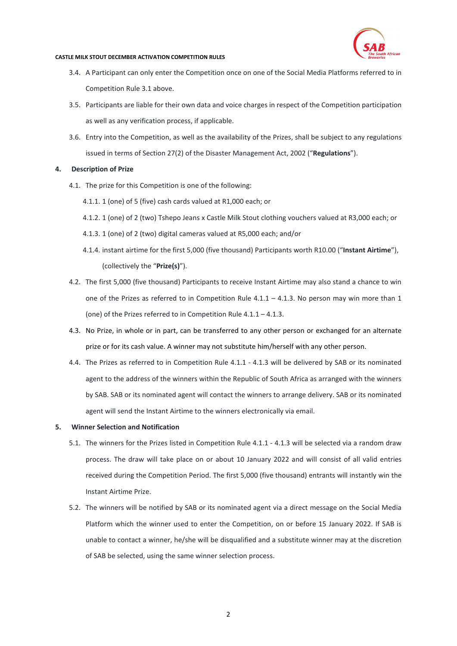

- 3.4. A Participant can only enter the Competition once on one of the Social Media Platforms referred to in Competition Rul[e 3.1](#page-0-0) above.
- 3.5. Participants are liable for their own data and voice charges in respect of the Competition participation as well as any verification process, if applicable.
- 3.6. Entry into the Competition, as well as the availability of the Prizes, shall be subject to any regulations issued in terms of Section 27(2) of the Disaster Management Act, 2002 ("**Regulations**").

## **4. Description of Prize**

- <span id="page-1-1"></span><span id="page-1-0"></span>4.1. The prize for this Competition is one of the following:
	- 4.1.1. 1 (one) of 5 (five) cash cards valued at R1,000 each; or
	- 4.1.2. 1 (one) of 2 (two) Tshepo Jeans x Castle Milk Stout clothing vouchers valued at R3,000 each; or
	- 4.1.3. 1 (one) of 2 (two) digital cameras valued at R5,000 each; and/or
	- 4.1.4. instant airtime for the first 5,000 (five thousand) Participants worth R10.00 ("**Instant Airtime**"), (collectively the "**Prize(s)**").
- 4.2. The first 5,000 (five thousand) Participants to receive Instant Airtime may also stand a chance to win one of the Prizes as referred to in Competition Rule [4.1.1](#page-1-0) – [4.1.3.](#page-1-1) No person may win more than 1 (one) of the Prizes referred to in Competition Rul[e 4.1.1](#page-1-0) – [4.1.3.](#page-1-1)
- 4.3. No Prize, in whole or in part, can be transferred to any other person or exchanged for an alternate prize or for its cash value. A winner may not substitute him/herself with any other person.
- 4.4. The Prizes as referred to in Competition Rule [4.1.1](#page-1-0) [4.1.3](#page-1-1) will be delivered by SAB or its nominated agent to the address of the winners within the Republic of South Africa as arranged with the winners by SAB. SAB or its nominated agent will contact the winners to arrange delivery. SAB or its nominated agent will send the Instant Airtime to the winners electronically via email.

### **5. Winner Selection and Notification**

- 5.1. The winners for the Prizes listed in Competition Rule [4.1.1](#page-1-0) [4.1.3](#page-1-1) will be selected via a random draw process. The draw will take place on or about 10 January 2022 and will consist of all valid entries received during the Competition Period. The first 5,000 (five thousand) entrants will instantly win the Instant Airtime Prize.
- 5.2. The winners will be notified by SAB or its nominated agent via a direct message on the Social Media Platform which the winner used to enter the Competition, on or before 15 January 2022. If SAB is unable to contact a winner, he/she will be disqualified and a substitute winner may at the discretion of SAB be selected, using the same winner selection process.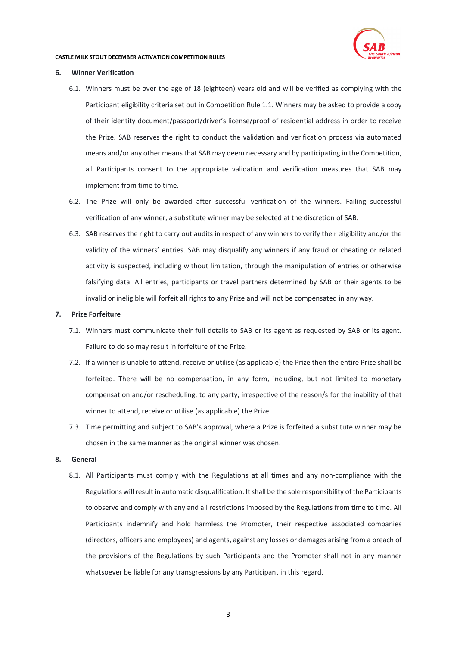

### **6. Winner Verification**

- 6.1. Winners must be over the age of 18 (eighteen) years old and will be verified as complying with the Participant eligibility criteria set out in Competition Rul[e 1.1.](#page-0-1) Winners may be asked to provide a copy of their identity document/passport/driver's license/proof of residential address in order to receive the Prize. SAB reserves the right to conduct the validation and verification process via automated means and/or any other means that SAB may deem necessary and by participating in the Competition, all Participants consent to the appropriate validation and verification measures that SAB may implement from time to time.
- 6.2. The Prize will only be awarded after successful verification of the winners. Failing successful verification of any winner, a substitute winner may be selected at the discretion of SAB.
- 6.3. SAB reserves the right to carry out audits in respect of any winners to verify their eligibility and/or the validity of the winners' entries. SAB may disqualify any winners if any fraud or cheating or related activity is suspected, including without limitation, through the manipulation of entries or otherwise falsifying data. All entries, participants or travel partners determined by SAB or their agents to be invalid or ineligible will forfeit all rights to any Prize and will not be compensated in any way.

### **7. Prize Forfeiture**

- 7.1. Winners must communicate their full details to SAB or its agent as requested by SAB or its agent. Failure to do so may result in forfeiture of the Prize.
- 7.2. If a winner is unable to attend, receive or utilise (as applicable) the Prize then the entire Prize shall be forfeited. There will be no compensation, in any form, including, but not limited to monetary compensation and/or rescheduling, to any party, irrespective of the reason/s for the inability of that winner to attend, receive or utilise (as applicable) the Prize.
- 7.3. Time permitting and subject to SAB's approval, where a Prize is forfeited a substitute winner may be chosen in the same manner as the original winner was chosen.

### **8. General**

8.1. All Participants must comply with the Regulations at all times and any non-compliance with the Regulations will result in automatic disqualification. It shall be the sole responsibility of the Participants to observe and comply with any and all restrictions imposed by the Regulations from time to time. All Participants indemnify and hold harmless the Promoter, their respective associated companies (directors, officers and employees) and agents, against any losses or damages arising from a breach of the provisions of the Regulations by such Participants and the Promoter shall not in any manner whatsoever be liable for any transgressions by any Participant in this regard.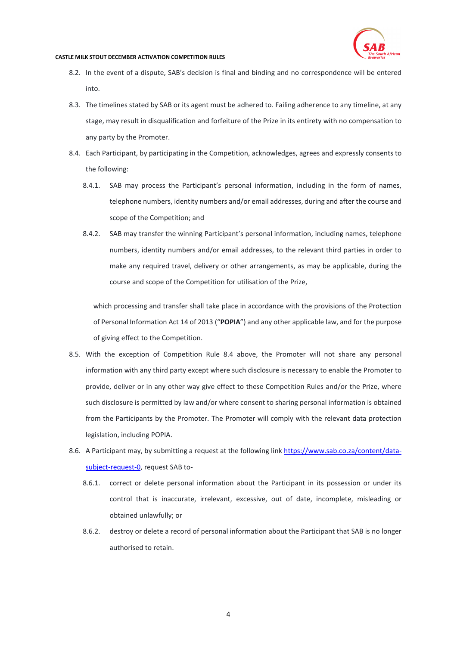

- 8.2. In the event of a dispute, SAB's decision is final and binding and no correspondence will be entered into.
- 8.3. The timelines stated by SAB or its agent must be adhered to. Failing adherence to any timeline, at any stage, may result in disqualification and forfeiture of the Prize in its entirety with no compensation to any party by the Promoter.
- <span id="page-3-0"></span>8.4. Each Participant, by participating in the Competition, acknowledges, agrees and expressly consents to the following:
	- 8.4.1. SAB may process the Participant's personal information, including in the form of names, telephone numbers, identity numbers and/or email addresses, during and after the course and scope of the Competition; and
	- 8.4.2. SAB may transfer the winning Participant's personal information, including names, telephone numbers, identity numbers and/or email addresses, to the relevant third parties in order to make any required travel, delivery or other arrangements, as may be applicable, during the course and scope of the Competition for utilisation of the Prize,

which processing and transfer shall take place in accordance with the provisions of the Protection of Personal Information Act 14 of 2013 ("**POPIA**") and any other applicable law, and for the purpose of giving effect to the Competition.

- 8.5. With the exception of Competition Rule [8.4](#page-3-0) above, the Promoter will not share any personal information with any third party except where such disclosure is necessary to enable the Promoter to provide, deliver or in any other way give effect to these Competition Rules and/or the Prize, where such disclosure is permitted by law and/or where consent to sharing personal information is obtained from the Participants by the Promoter. The Promoter will comply with the relevant data protection legislation, including POPIA.
- 8.6. A Participant may, by submitting a request at the following link [https://www.sab.co.za/content/data](https://www.sab.co.za/content/data-subject-request-0)[subject-request-0,](https://www.sab.co.za/content/data-subject-request-0) request SAB to-
	- 8.6.1. correct or delete personal information about the Participant in its possession or under its control that is inaccurate, irrelevant, excessive, out of date, incomplete, misleading or obtained unlawfully; or
	- 8.6.2. destroy or delete a record of personal information about the Participant that SAB is no longer authorised to retain.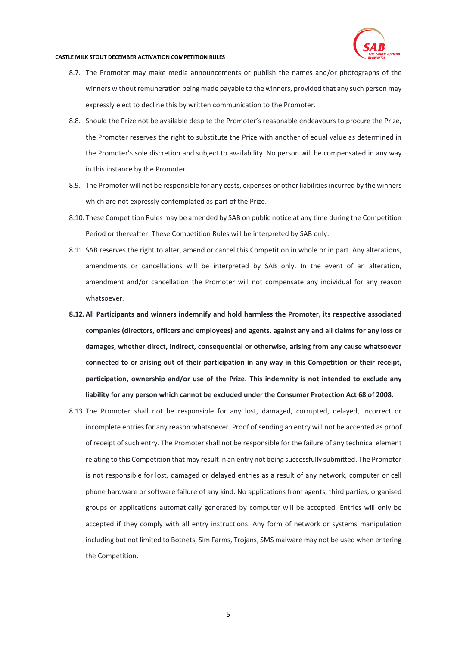

- 8.7. The Promoter may make media announcements or publish the names and/or photographs of the winners without remuneration being made payable to the winners, provided that any such person may expressly elect to decline this by written communication to the Promoter.
- 8.8. Should the Prize not be available despite the Promoter's reasonable endeavours to procure the Prize, the Promoter reserves the right to substitute the Prize with another of equal value as determined in the Promoter's sole discretion and subject to availability. No person will be compensated in any way in this instance by the Promoter.
- 8.9. The Promoter will not be responsible for any costs, expenses or other liabilities incurred by the winners which are not expressly contemplated as part of the Prize.
- 8.10. These Competition Rules may be amended by SAB on public notice at any time during the Competition Period or thereafter. These Competition Rules will be interpreted by SAB only.
- 8.11. SAB reserves the right to alter, amend or cancel this Competition in whole or in part. Any alterations, amendments or cancellations will be interpreted by SAB only. In the event of an alteration, amendment and/or cancellation the Promoter will not compensate any individual for any reason whatsoever.
- **8.12.All Participants and winners indemnify and hold harmless the Promoter, its respective associated companies (directors, officers and employees) and agents, against any and all claims for any loss or damages, whether direct, indirect, consequential or otherwise, arising from any cause whatsoever connected to or arising out of their participation in any way in this Competition or their receipt, participation, ownership and/or use of the Prize. This indemnity is not intended to exclude any liability for any person which cannot be excluded under the Consumer Protection Act 68 of 2008.**
- 8.13. The Promoter shall not be responsible for any lost, damaged, corrupted, delayed, incorrect or incomplete entries for any reason whatsoever. Proof of sending an entry will not be accepted as proof of receipt of such entry. The Promoter shall not be responsible for the failure of any technical element relating to this Competition that may result in an entry not being successfully submitted. The Promoter is not responsible for lost, damaged or delayed entries as a result of any network, computer or cell phone hardware or software failure of any kind. No applications from agents, third parties, organised groups or applications automatically generated by computer will be accepted. Entries will only be accepted if they comply with all entry instructions. Any form of network or systems manipulation including but not limited to Botnets, Sim Farms, Trojans, SMS malware may not be used when entering the Competition.